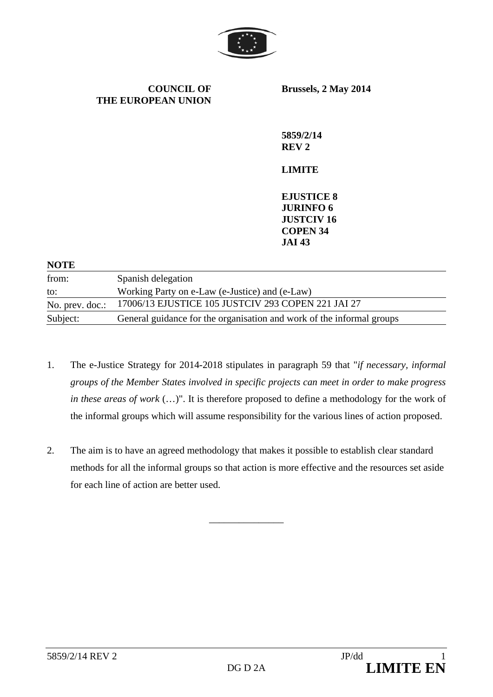

**COUNCIL OF THE EUROPEAN UNION**  **Brussels, 2 May 2014** 

**5859/2/14 REV 2** 

#### **LIMITE**

**EJUSTICE 8 JURINFO 6 JUSTCIV 16 COPEN 34 JAI 43** 

| <b>NOTE</b>     |                                                                       |
|-----------------|-----------------------------------------------------------------------|
| from:           | Spanish delegation                                                    |
| to:             | Working Party on e-Law (e-Justice) and (e-Law)                        |
| No. prev. doc.: | 17006/13 EJUSTICE 105 JUSTCIV 293 COPEN 221 JAI 27                    |
| Subject:        | General guidance for the organisation and work of the informal groups |

- 1. The e-Justice Strategy for 2014-2018 stipulates in paragraph 59 that "*if necessary, informal groups of the Member States involved in specific projects can meet in order to make progress in these areas of work* (…)". It is therefore proposed to define a methodology for the work of the informal groups which will assume responsibility for the various lines of action proposed.
- 2. The aim is to have an agreed methodology that makes it possible to establish clear standard methods for all the informal groups so that action is more effective and the resources set aside for each line of action are better used.

\_\_\_\_\_\_\_\_\_\_\_\_\_\_\_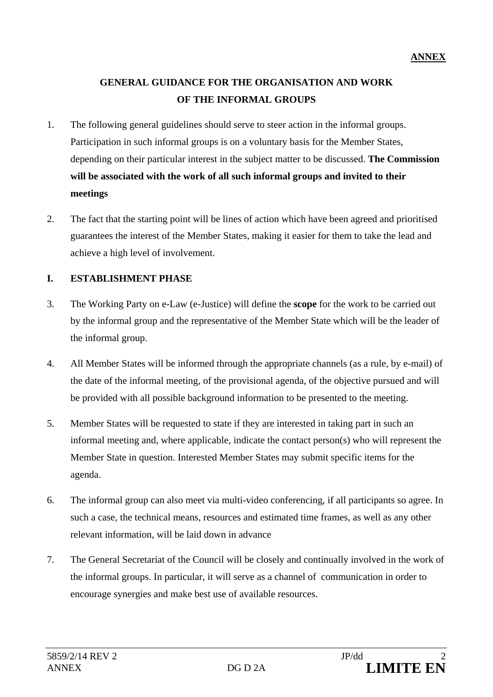# **GENERAL GUIDANCE FOR THE ORGANISATION AND WORK OF THE INFORMAL GROUPS**

- 1. The following general guidelines should serve to steer action in the informal groups. Participation in such informal groups is on a voluntary basis for the Member States, depending on their particular interest in the subject matter to be discussed. **The Commission will be associated with the work of all such informal groups and invited to their meetings**
- 2. The fact that the starting point will be lines of action which have been agreed and prioritised guarantees the interest of the Member States, making it easier for them to take the lead and achieve a high level of involvement.

## **I. ESTABLISHMENT PHASE**

- 3. The Working Party on e-Law (e-Justice) will define the **scope** for the work to be carried out by the informal group and the representative of the Member State which will be the leader of the informal group.
- 4. All Member States will be informed through the appropriate channels (as a rule, by e-mail) of the date of the informal meeting, of the provisional agenda, of the objective pursued and will be provided with all possible background information to be presented to the meeting.
- 5. Member States will be requested to state if they are interested in taking part in such an informal meeting and, where applicable, indicate the contact person(s) who will represent the Member State in question. Interested Member States may submit specific items for the agenda.
- 6. The informal group can also meet via multi-video conferencing, if all participants so agree. In such a case, the technical means, resources and estimated time frames, as well as any other relevant information, will be laid down in advance
- 7. The General Secretariat of the Council will be closely and continually involved in the work of the informal groups. In particular, it will serve as a channel of communication in order to encourage synergies and make best use of available resources.